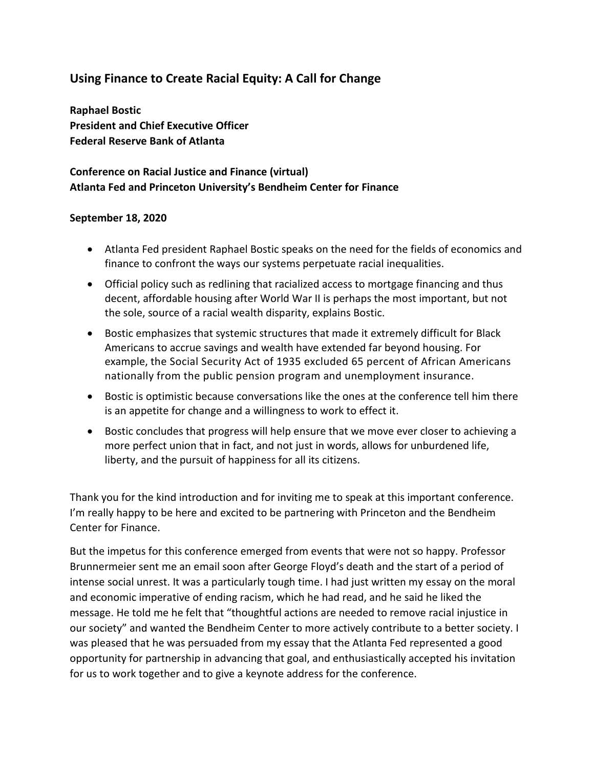# **Using Finance to Create Racial Equity: A Call for Change**

**Raphael Bostic President and Chief Executive Officer Federal Reserve Bank of Atlanta**

## **Conference on Racial Justice and Finance (virtual) Atlanta Fed and Princeton University's Bendheim Center for Finance**

#### **September 18, 2020**

- Atlanta Fed president Raphael Bostic speaks on the need for the fields of economics and finance to confront the ways our systems perpetuate racial inequalities.
- Official policy such as redlining that racialized access to mortgage financing and thus decent, affordable housing after World War II is perhaps the most important, but not the sole, source of a racial wealth disparity, explains Bostic.
- Bostic emphasizes that systemic structures that made it extremely difficult for Black Americans to accrue savings and wealth have extended far beyond housing. For example, the Social Security Act of 1935 excluded 65 percent of African Americans nationally from the public pension program and unemployment insurance.
- Bostic is optimistic because conversations like the ones at the conference tell him there is an appetite for change and a willingness to work to effect it.
- Bostic concludes that progress will help ensure that we move ever closer to achieving a more perfect union that in fact, and not just in words, allows for unburdened life, liberty, and the pursuit of happiness for all its citizens.

Thank you for the kind introduction and for inviting me to speak at this important conference. I'm really happy to be here and excited to be partnering with Princeton and the Bendheim Center for Finance.

But the impetus for this conference emerged from events that were not so happy. Professor Brunnermeier sent me an email soon after George Floyd's death and the start of a period of intense social unrest. It was a particularly tough time. I had just written my essay on the moral and economic imperative of ending racism, which he had read, and he said he liked the message. He told me he felt that "thoughtful actions are needed to remove racial injustice in our society" and wanted the Bendheim Center to more actively contribute to a better society. I was pleased that he was persuaded from my essay that the Atlanta Fed represented a good opportunity for partnership in advancing that goal, and enthusiastically accepted his invitation for us to work together and to give a keynote address for the conference.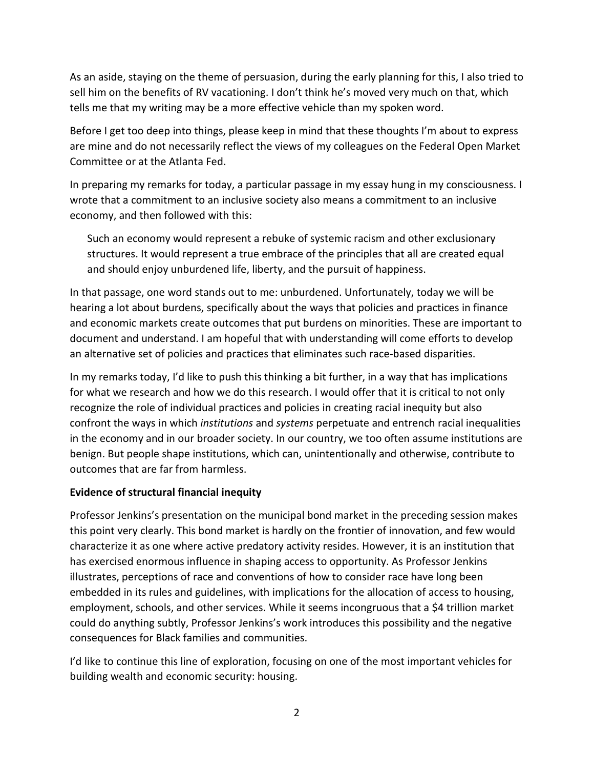As an aside, staying on the theme of persuasion, during the early planning for this, I also tried to sell him on the benefits of RV vacationing. I don't think he's moved very much on that, which tells me that my writing may be a more effective vehicle than my spoken word.

Before I get too deep into things, please keep in mind that these thoughts I'm about to express are mine and do not necessarily reflect the views of my colleagues on the Federal Open Market Committee or at the Atlanta Fed.

In preparing my remarks for today, a particular passage in my essay hung in my consciousness. I wrote that a commitment to an inclusive society also means a commitment to an inclusive economy, and then followed with this:

Such an economy would represent a rebuke of systemic racism and other exclusionary structures. It would represent a true embrace of the principles that all are created equal and should enjoy unburdened life, liberty, and the pursuit of happiness.

In that passage, one word stands out to me: unburdened. Unfortunately, today we will be hearing a lot about burdens, specifically about the ways that policies and practices in finance and economic markets create outcomes that put burdens on minorities. These are important to document and understand. I am hopeful that with understanding will come efforts to develop an alternative set of policies and practices that eliminates such race-based disparities.

In my remarks today, I'd like to push this thinking a bit further, in a way that has implications for what we research and how we do this research. I would offer that it is critical to not only recognize the role of individual practices and policies in creating racial inequity but also confront the ways in which *institutions* and *systems* perpetuate and entrench racial inequalities in the economy and in our broader society. In our country, we too often assume institutions are benign. But people shape institutions, which can, unintentionally and otherwise, contribute to outcomes that are far from harmless.

### **Evidence of structural financial inequity**

Professor Jenkins's presentation on the municipal bond market in the preceding session makes this point very clearly. This bond market is hardly on the frontier of innovation, and few would characterize it as one where active predatory activity resides. However, it is an institution that has exercised enormous influence in shaping access to opportunity. As Professor Jenkins illustrates, perceptions of race and conventions of how to consider race have long been embedded in its rules and guidelines, with implications for the allocation of access to housing, employment, schools, and other services. While it seems incongruous that a \$4 trillion market could do anything subtly, Professor Jenkins's work introduces this possibility and the negative consequences for Black families and communities.

I'd like to continue this line of exploration, focusing on one of the most important vehicles for building wealth and economic security: housing.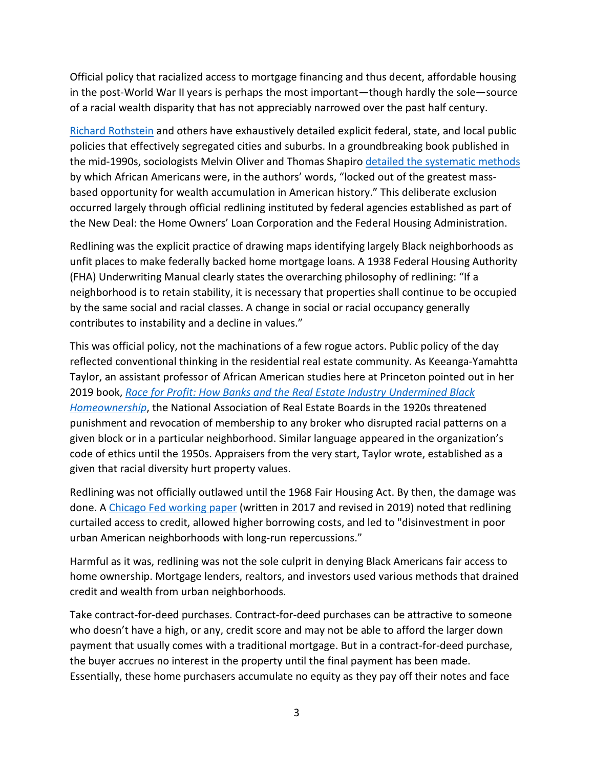Official policy that racialized access to mortgage financing and thus decent, affordable housing in the post-World War II years is perhaps the most important—though hardly the sole—source of a racial wealth disparity that has not appreciably narrowed over the past half century.

[Richard Rothstein](https://www.epi.org/publication/the-color-of-law-a-forgotten-history-of-how-our-government-segregated-america/) and others have exhaustively detailed explicit federal, state, and local public policies that effectively segregated cities and suburbs. In a groundbreaking book published in the mid-1990s, sociologists Melvin Oliver and Thomas Shapiro [detailed the systematic methods](https://books.google.com/books/about/Black_Wealth_White_Wealth.html?id=4ksJuX02DNwC) by which African Americans were, in the authors' words, "locked out of the greatest massbased opportunity for wealth accumulation in American history." This deliberate exclusion occurred largely through official redlining instituted by federal agencies established as part of the New Deal: the Home Owners' Loan Corporation and the Federal Housing Administration.

Redlining was the explicit practice of drawing maps identifying largely Black neighborhoods as unfit places to make federally backed home mortgage loans. A 1938 Federal Housing Authority (FHA) Underwriting Manual clearly states the overarching philosophy of redlining: "If a neighborhood is to retain stability, it is necessary that properties shall continue to be occupied by the same social and racial classes. A change in social or racial occupancy generally contributes to instability and a decline in values."

This was official policy, not the machinations of a few rogue actors. Public policy of the day reflected conventional thinking in the residential real estate community. As Keeanga-Yamahtta Taylor, an assistant professor of African American studies here at Princeton pointed out in her 2019 book, *[Race for Profit: How Banks and the Real Estate Industry Undermined Black](https://uncpress.org/book/9781469653662/race-for-profit/)  [Homeownership](https://uncpress.org/book/9781469653662/race-for-profit/)*, the National Association of Real Estate Boards in the 1920s threatened punishment and revocation of membership to any broker who disrupted racial patterns on a given block or in a particular neighborhood. Similar language appeared in the organization's code of ethics until the 1950s. Appraisers from the very start, Taylor wrote, established as a given that racial diversity hurt property values.

Redlining was not officially outlawed until the 1968 Fair Housing Act. By then, the damage was done. A [Chicago Fed working paper](https://www.chicagofed.org/publications/working-papers/2017/wp2017-12) (written in 2017 and revised in 2019) noted that redlining curtailed access to credit, allowed higher borrowing costs, and led to "disinvestment in poor urban American neighborhoods with long-run repercussions."

Harmful as it was, redlining was not the sole culprit in denying Black Americans fair access to home ownership. Mortgage lenders, realtors, and investors used various methods that drained credit and wealth from urban neighborhoods.

Take contract-for-deed purchases. Contract-for-deed purchases can be attractive to someone who doesn't have a high, or any, credit score and may not be able to afford the larger down payment that usually comes with a traditional mortgage. But in a contract-for-deed purchase, the buyer accrues no interest in the property until the final payment has been made. Essentially, these home purchasers accumulate no equity as they pay off their notes and face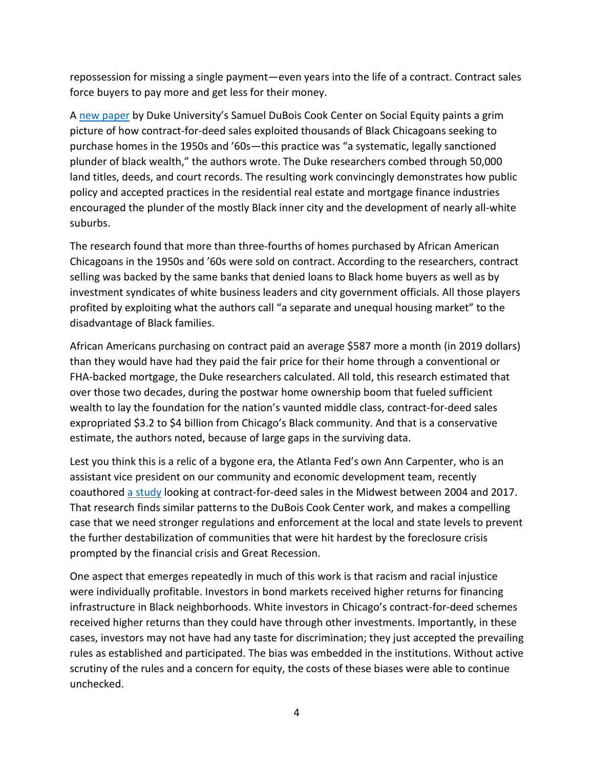repossession for missing a single payment—even years into the life of a contract. Contract sales force buyers to pay more and get less for their money.

A [new paper](https://socialequity.duke.edu/wp-content/uploads/2019/10/Plunder-of-Black-Wealth-in-Chicago.pdf) by Duke University's Samuel DuBois Cook Center on Social Equity paints a grim picture of how contract-for-deed sales exploited thousands of Black Chicagoans seeking to purchase homes in the 1950s and '60s—this practice was "a systematic, legally sanctioned plunder of black wealth," the authors wrote. The Duke researchers combed through 50,000 land titles, deeds, and court records. The resulting work convincingly demonstrates how public policy and accepted practices in the residential real estate and mortgage finance industries encouraged the plunder of the mostly Black inner city and the development of nearly all-white suburbs.

The research found that more than three-fourths of homes purchased by African American Chicagoans in the 1950s and '60s were sold on contract. According to the researchers, contract selling was backed by the same banks that denied loans to Black home buyers as well as by investment syndicates of white business leaders and city government officials. All those players profited by exploiting what the authors call "a separate and unequal housing market" to the disadvantage of Black families.

African Americans purchasing on contract paid an average \$587 more a month (in 2019 dollars) than they would have had they paid the fair price for their home through a conventional or FHA-backed mortgage, the Duke researchers calculated. All told, this research estimated that over those two decades, during the postwar home ownership boom that fueled sufficient wealth to lay the foundation for the nation's vaunted middle class, contract-for-deed sales expropriated \$3.2 to \$4 billion from Chicago's Black community. And that is a conservative estimate, the authors noted, because of large gaps in the surviving data.

Lest you think this is a relic of a bygone era, the Atlanta Fed's own Ann Carpenter, who is an assistant vice president on our community and economic development team, recently coauthored [a study](https://www.huduser.gov/portal/periodicals/cityscpe/vol22num1/ch2.pdf) looking at contract-for-deed sales in the Midwest between 2004 and 2017. That research finds similar patterns to the DuBois Cook Center work, and makes a compelling case that we need stronger regulations and enforcement at the local and state levels to prevent the further destabilization of communities that were hit hardest by the foreclosure crisis prompted by the financial crisis and Great Recession.

One aspect that emerges repeatedly in much of this work is that racism and racial injustice were individually profitable. Investors in bond markets received higher returns for financing infrastructure in Black neighborhoods. White investors in Chicago's contract-for-deed schemes received higher returns than they could have through other investments. Importantly, in these cases, investors may not have had any taste for discrimination; they just accepted the prevailing rules as established and participated. The bias was embedded in the institutions. Without active scrutiny of the rules and a concern for equity, the costs of these biases were able to continue unchecked.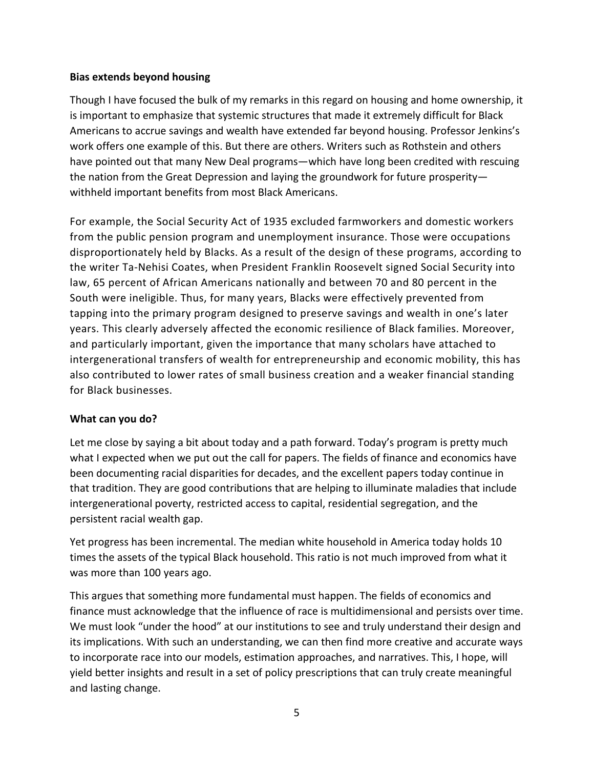#### **Bias extends beyond housing**

Though I have focused the bulk of my remarks in this regard on housing and home ownership, it is important to emphasize that systemic structures that made it extremely difficult for Black Americans to accrue savings and wealth have extended far beyond housing. Professor Jenkins's work offers one example of this. But there are others. Writers such as Rothstein and others have pointed out that many New Deal programs—which have long been credited with rescuing the nation from the Great Depression and laying the groundwork for future prosperity withheld important benefits from most Black Americans.

For example, the Social Security Act of 1935 excluded farmworkers and domestic workers from the public pension program and unemployment insurance. Those were occupations disproportionately held by Blacks. As a result of the design of these programs, according to the writer Ta-Nehisi Coates, when President Franklin Roosevelt signed Social Security into law, 65 percent of African Americans nationally and between 70 and 80 percent in the South were ineligible. Thus, for many years, Blacks were effectively prevented from tapping into the primary program designed to preserve savings and wealth in one's later years. This clearly adversely affected the economic resilience of Black families. Moreover, and particularly important, given the importance that many scholars have attached to intergenerational transfers of wealth for entrepreneurship and economic mobility, this has also contributed to lower rates of small business creation and a weaker financial standing for Black businesses.

### **What can you do?**

Let me close by saying a bit about today and a path forward. Today's program is pretty much what I expected when we put out the call for papers. The fields of finance and economics have been documenting racial disparities for decades, and the excellent papers today continue in that tradition. They are good contributions that are helping to illuminate maladies that include intergenerational poverty, restricted access to capital, residential segregation, and the persistent racial wealth gap.

Yet progress has been incremental. The median white household in America today holds 10 times the assets of the typical Black household. This ratio is not much improved from what it was more than 100 years ago.

This argues that something more fundamental must happen. The fields of economics and finance must acknowledge that the influence of race is multidimensional and persists over time. We must look "under the hood" at our institutions to see and truly understand their design and its implications. With such an understanding, we can then find more creative and accurate ways to incorporate race into our models, estimation approaches, and narratives. This, I hope, will yield better insights and result in a set of policy prescriptions that can truly create meaningful and lasting change.